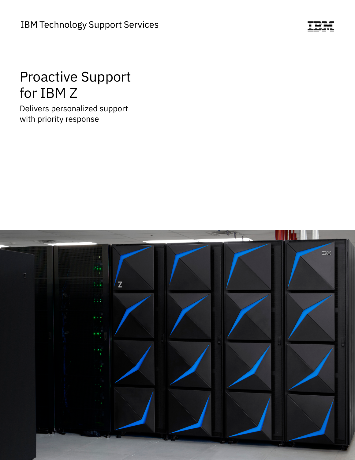

# Proactive Support for IBM Z

Delivers personalized support with priority response

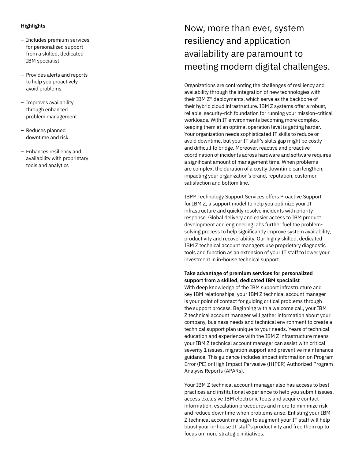#### **Highlights**

- Includes premium services for personalized support from a skilled, dedicated IBM specialist
- Provides alerts and reports to help you proactively avoid problems
- Improves availability through enhanced problem management
- Reduces planned downtime and risk
- Enhances resiliency and availability with proprietary tools and analytics

# Now, more than ever, system resiliency and application availability are paramount to meeting modern digital challenges.

Organizations are confronting the challenges of resiliency and availability through the integration of new technologies with their IBM Z® deployments, which serve as the backbone of their hybrid cloud infrastructure. IBM Z systems offer a robust, reliable, security-rich foundation for running your mission-critical workloads. With IT environments becoming more complex, keeping them at an optimal operation level is getting harder. Your organization needs sophisticated IT skills to reduce or avoid downtime, but your IT staff's skills gap might be costly and difficult to bridge. Moreover, reactive and proactive coordination of incidents across hardware and software requires a significant amount of management time. When problems are complex, the duration of a costly downtime can lengthen, impacting your organization's brand, reputation, customer satisfaction and bottom line.

IBM® Technology Support Services offers Proactive Support for IBM Z, a support model to help you optimize your IT infrastructure and quickly resolve incidents with priority response. Global delivery and easier access to IBM product development and engineering labs further fuel the problemsolving process to help significantly improve system availability, productivity and recoverability. Our highly skilled, dedicated IBM Z technical account managers use proprietary diagnostic tools and function as an extension of your IT staff to lower your investment in in-house technical support.

## **Take advantage of premium services for personalized support from a skilled, dedicated IBM specialist**

With deep knowledge of the IBM support infrastructure and key IBM relationships, your IBM Z technical account manager is your point of contact for guiding critical problems through the support process. Beginning with a welcome call, your IBM Z technical account manager will gather information about your company, business needs and technical environment to create a technical support plan unique to your needs. Years of technical education and experience with the IBM Z infrastructure means your IBM Z technical account manager can assist with critical severity 1 issues, migration support and preventive maintenance guidance. This guidance includes impact information on Program Error (PE) or High Impact Pervasive (HIPER) Authorized Program Analysis Reports (APARs).

Your IBM Z technical account manager also has access to best practices and institutional experience to help you submit issues, access exclusive IBM electronic tools and acquire contact information, escalation procedures and more to minimize risk and reduce downtime when problems arise. Enlisting your IBM Z technical account manager to augment your IT staff will help boost your in-house IT staff's productivity and free them up to focus on more strategic initiatives.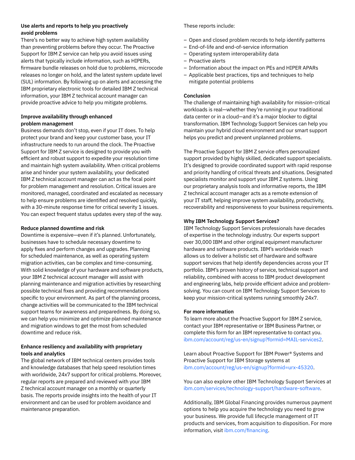#### **Use alerts and reports to help you proactively avoid problems**

There's no better way to achieve high system availability than preventing problems before they occur. The Proactive Support for IBM Z service can help you avoid issues using alerts that typically include information, such as HIPERs, firmware bundle releases on hold due to problems, microcode releases no longer on hold, and the latest system update level (SUL) information. By following up on alerts and accessing the IBM proprietary electronic tools for detailed IBM Z technical information, your IBM Z technical account manager can provide proactive advice to help you mitigate problems.

### **Improve availability through enhanced problem management**

Business demands don't stop, even if your IT does. To help protect your brand and keep your customer base, your IT infrastructure needs to run around the clock. The Proactive Support for IBM Z service is designed to provide you with efficient and robust support to expedite your resolution time and maintain high system availability. When critical problems arise and hinder your system availability, your dedicated IBM Z technical account manager can act as the focal point for problem management and resolution. Critical issues are monitored, managed, coordinated and escalated as necessary to help ensure problems are identified and resolved quickly, with a 30-minute response time for critical severity 1 issues. You can expect frequent status updates every step of the way.

#### **Reduce planned downtime and risk**

Downtime is expensive—even if it's planned. Unfortunately, businesses have to schedule necessary downtime to apply fixes and perform changes and upgrades. Planning for scheduled maintenance, as well as operating system migration activities, can be complex and time-consuming. With solid knowledge of your hardware and software products, your IBM Z technical account manager will assist with planning maintenance and migration activities by researching possible technical fixes and providing recommendations specific to your environment. As part of the planning process, change activities will be communicated to the IBM technical support teams for awareness and preparedness. By doing so, we can help you minimize and optimize planned maintenance and migration windows to get the most from scheduled downtime and reduce risk.

#### **Enhance resiliency and availability with proprietary tools and analytics**

The global network of IBM technical centers provides tools and knowledge databases that help speed resolution times with worldwide, 24x7 support for critical problems. Moreover, regular reports are prepared and reviewed with your IBM Z technical account manager on a monthly or quarterly basis. The reports provide insights into the health of your IT environment and can be used for problem avoidance and maintenance preparation.

These reports include:

- Open and closed problem records to help identify patterns
- End-of-life and end-of-service information
- Operating system interoperability data
- Proactive alerts
- Information about the impact on PEs and HIPER APARs
- Applicable best practices, tips and techniques to help mitigate potential problems

#### **Conclusion**

The challenge of maintaining high availability for mission-critical workloads is real—whether they're running in your traditional data center or in a cloud—and it's a major blocker to digital transformation. IBM Technology Support Services can help you maintain your hybrid cloud environment and our smart support helps you predict and prevent unplanned problems.

The Proactive Support for IBM Z service offers personalized support provided by highly skilled, dedicated support specialists. It's designed to provide coordinated support with rapid response and priority handling of critical threats and situations. Designated specialists monitor and support your IBM Z systems. Using our proprietary analysis tools and informative reports, the IBM Z technical account manager acts as a remote extension of your IT staff, helping improve system availability, productivity, recoverability and responsiveness to your business requirements.

#### **Why IBM Technology Support Services?**

IBM Technology Support Services professionals have decades of expertise in the technology industry. Our experts support over 30,000 IBM and other original equipment manufacturer hardware and software products. IBM's worldwide reach allows us to deliver a holistic set of hardware and software support services that help identify dependencies across your IT portfolio. IBM's proven history of service, technical support and reliability, combined with access to IBM product development and engineering labs, help provide efficient advice and problemsolving. You can count on IBM Technology Support Services to keep your mission-critical systems running smoothly 24x7.

#### **For more information**

To learn more about the Proactive Support for IBM Z service, contact your IBM representative or IBM Business Partner, or complete this form for an IBM representative to contact you. ibm.com/account/reg/us-en/signup?formid=MAIL-services2.

Learn about Proactive Support for IBM Power® Systems and Proactive Support for IBM Storage systems at ibm.com/account/reg/us-en/signup?formid=urx-45320.

You can also explore other IBM Technology Support Services at ibm.com/services/technology-support/hardware-software.

Additionally, IBM Global Financing provides numerous payment options to help you acquire the technology you need to grow your business. We provide full lifecycle management of IT products and services, from acquisition to disposition. For more information, visit ibm.com/financing.